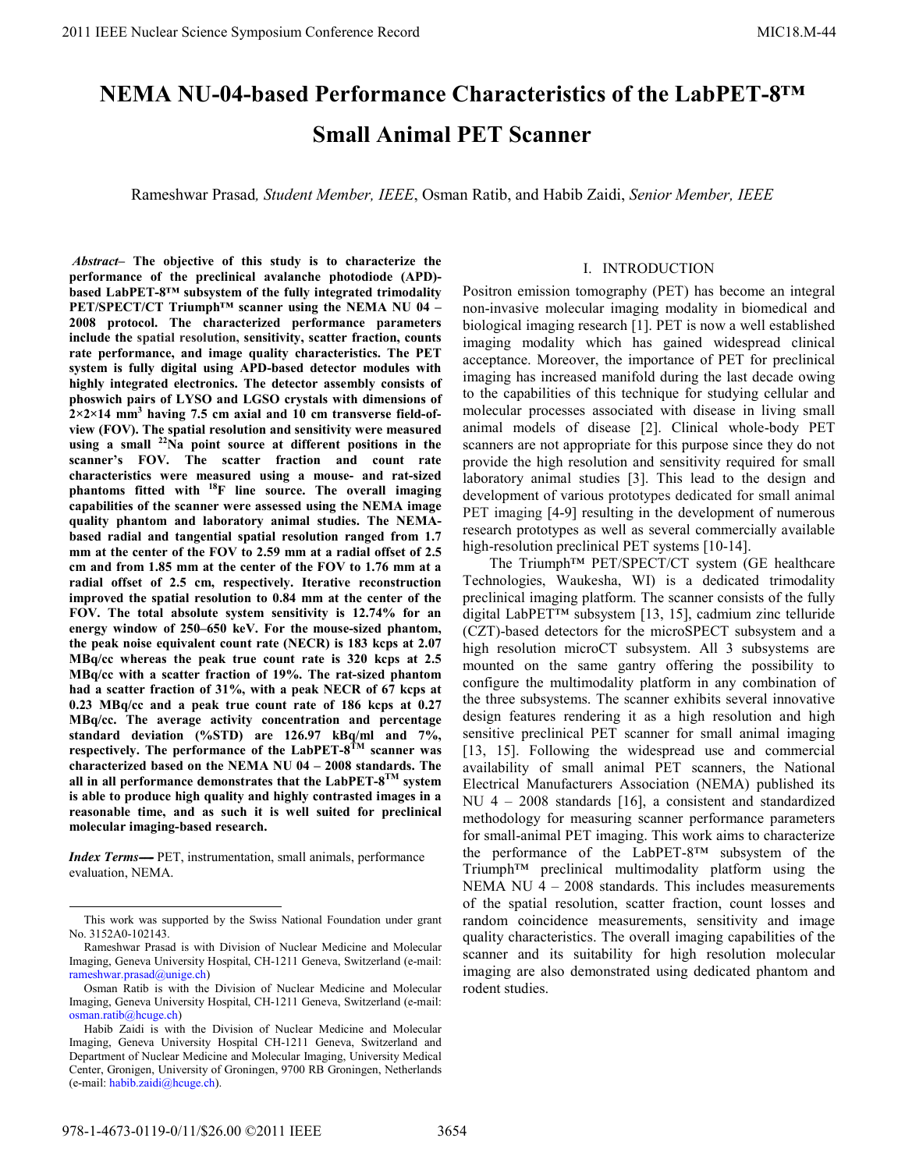# **NEMA NU-04-based Performance Characteristics of the LabPET-8™ Small Animal PET Scanner**

Rameshwar Prasad*, Student Member, IEEE*, Osman Ratib, and Habib Zaidi, *Senior Member, IEEE*

*Abstract–* **The objective of this study is to characterize the performance of the preclinical avalanche photodiode (APD) based LabPET-8™ subsystem of the fully integrated trimodality PET/SPECT/CT Triumph™ scanner using the NEMA NU 04 – 2008 protocol. The characterized performance parameters include the spatial resolution, sensitivity, scatter fraction, counts rate performance, and image quality characteristics. The PET system is fully digital using APD-based detector modules with highly integrated electronics. The detector assembly consists of phoswich pairs of LYSO and LGSO crystals with dimensions of**   $2 \times 2 \times 14$  mm<sup>3</sup> having 7.5 cm axial and 10 cm transverse field-of**view (FOV). The spatial resolution and sensitivity were measured using a small 22Na point source at different positions in the scanner's FOV. The scatter fraction and count rate characteristics were measured using a mouse- and rat-sized phantoms fitted with 18F line source. The overall imaging capabilities of the scanner were assessed using the NEMA image quality phantom and laboratory animal studies. The NEMAbased radial and tangential spatial resolution ranged from 1.7 mm at the center of the FOV to 2.59 mm at a radial offset of 2.5 cm and from 1.85 mm at the center of the FOV to 1.76 mm at a radial offset of 2.5 cm, respectively. Iterative reconstruction improved the spatial resolution to 0.84 mm at the center of the FOV. The total absolute system sensitivity is 12.74% for an energy window of 250–650 keV. For the mouse-sized phantom, the peak noise equivalent count rate (NECR) is 183 kcps at 2.07 MBq/cc whereas the peak true count rate is 320 kcps at 2.5 MBq/cc with a scatter fraction of 19%. The rat-sized phantom had a scatter fraction of 31%, with a peak NECR of 67 kcps at 0.23 MBq/cc and a peak true count rate of 186 kcps at 0.27 MBq/cc. The average activity concentration and percentage standard deviation (%STD) are 126.97 kBq/ml and 7%, respectively. The performance of the LabPET-8TM scanner was characterized based on the NEMA NU 04 – 2008 standards. The all in all performance demonstrates that the LabPET-8TM system is able to produce high quality and highly contrasted images in a reasonable time, and as such it is well suited for preclinical molecular imaging-based research.** 

*Index Terms*—- PET, instrumentation, small animals, performance evaluation, NEMA.

# I. INTRODUCTION

Positron emission tomography (PET) has become an integral non-invasive molecular imaging modality in biomedical and biological imaging research [1]. PET is now a well established imaging modality which has gained widespread clinical acceptance. Moreover, the importance of PET for preclinical imaging has increased manifold during the last decade owing to the capabilities of this technique for studying cellular and molecular processes associated with disease in living small animal models of disease [2]. Clinical whole-body PET scanners are not appropriate for this purpose since they do not provide the high resolution and sensitivity required for small laboratory animal studies [3]. This lead to the design and development of various prototypes dedicated for small animal PET imaging [4-9] resulting in the development of numerous research prototypes as well as several commercially available high-resolution preclinical PET systems [10-14].

The Triumph™ PET/SPECT/CT system (GE healthcare Technologies, Waukesha, WI) is a dedicated trimodality preclinical imaging platform. The scanner consists of the fully digital LabPET™ subsystem [13, 15], cadmium zinc telluride (CZT)-based detectors for the microSPECT subsystem and a high resolution microCT subsystem. All 3 subsystems are mounted on the same gantry offering the possibility to configure the multimodality platform in any combination of the three subsystems. The scanner exhibits several innovative design features rendering it as a high resolution and high sensitive preclinical PET scanner for small animal imaging [13, 15]. Following the widespread use and commercial availability of small animal PET scanners, the National Electrical Manufacturers Association (NEMA) published its NU 4 – 2008 standards [16], a consistent and standardized methodology for measuring scanner performance parameters for small-animal PET imaging. This work aims to characterize the performance of the LabPET-8™ subsystem of the Triumph™ preclinical multimodality platform using the NEMA NU 4 – 2008 standards. This includes measurements of the spatial resolution, scatter fraction, count losses and random coincidence measurements, sensitivity and image quality characteristics. The overall imaging capabilities of the scanner and its suitability for high resolution molecular imaging are also demonstrated using dedicated phantom and rodent studies.

This work was supported by the Swiss National Foundation under grant No. 3152A0-102143.

Rameshwar Prasad is with Division of Nuclear Medicine and Molecular Imaging, Geneva University Hospital, CH-1211 Geneva, Switzerland (e-mail: rameshwar.prasad@unige.ch)

Osman Ratib is with the Division of Nuclear Medicine and Molecular Imaging, Geneva University Hospital, CH-1211 Geneva, Switzerland (e-mail: osman.ratib@hcuge.ch)

Habib Zaidi is with the Division of Nuclear Medicine and Molecular Imaging, Geneva University Hospital CH-1211 Geneva, Switzerland and Department of Nuclear Medicine and Molecular Imaging, University Medical Center, Gronigen, University of Groningen, 9700 RB Groningen, Netherlands (e-mail: habib.zaidi@hcuge.ch).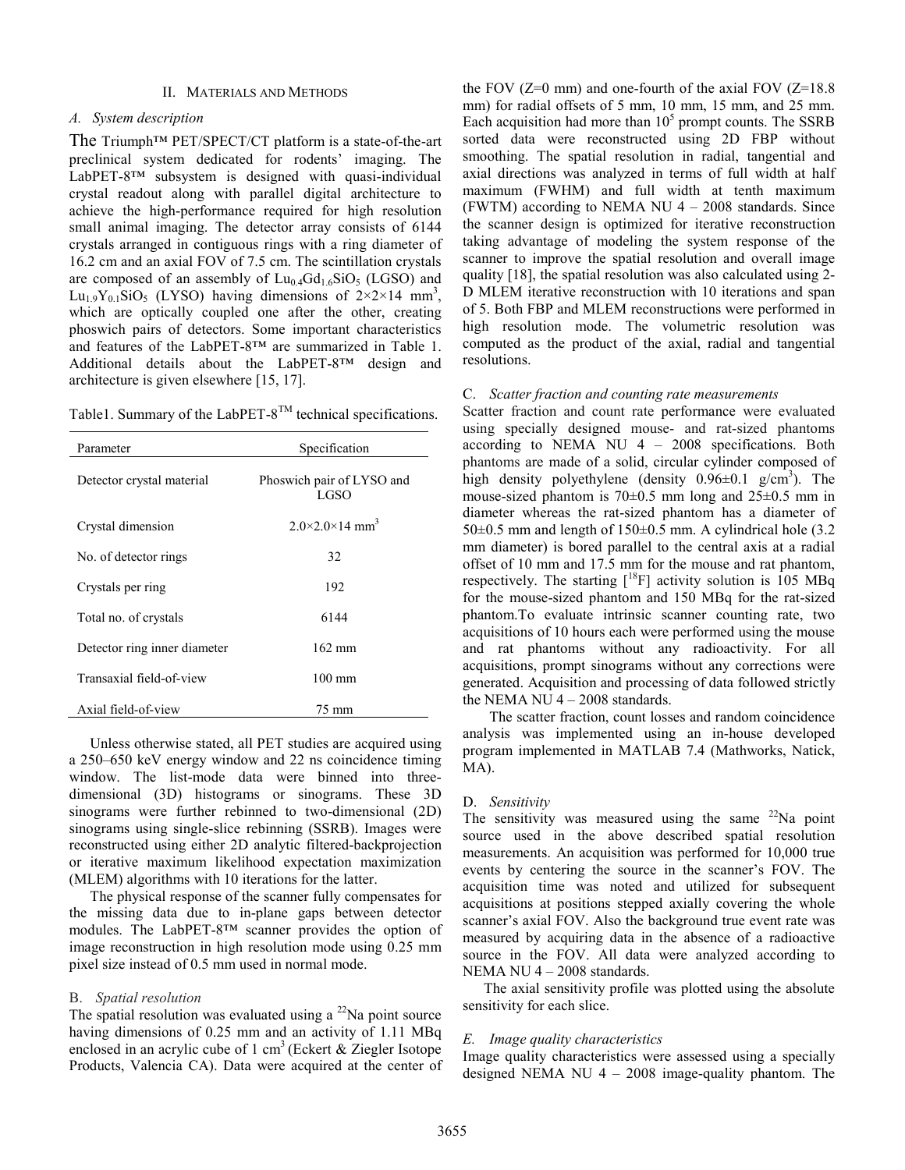### II. MATERIALS AND METHODS

## *A. System description*

The Triumph™ PET/SPECT/CT platform is a state-of-the-art preclinical system dedicated for rodents' imaging. The LabPET-8™ subsystem is designed with quasi-individual crystal readout along with parallel digital architecture to achieve the high-performance required for high resolution small animal imaging. The detector array consists of 6144 crystals arranged in contiguous rings with a ring diameter of 16.2 cm and an axial FOV of 7.5 cm. The scintillation crystals are composed of an assembly of  $Lu_{0.4}Gd_{1.6}SiO_5$  (LGSO) and Lu<sub>1.9</sub>Y<sub>0.1</sub>SiO<sub>5</sub> (LYSO) having dimensions of  $2\times2\times14$  mm<sup>3</sup>, which are optically coupled one after the other, creating phoswich pairs of detectors. Some important characteristics and features of the LabPET-8™ are summarized in Table 1. Additional details about the LabPET-8™ design and architecture is given elsewhere [15, 17].

Table1. Summary of the LabPET- $8^{TM}$  technical specifications.

| Parameter                    | Specification                          |  |
|------------------------------|----------------------------------------|--|
| Detector crystal material    | Phoswich pair of LYSO and<br>LGSO      |  |
| Crystal dimension            | $2.0\times2.0\times14$ mm <sup>3</sup> |  |
| No. of detector rings        | 32                                     |  |
| Crystals per ring            | 192                                    |  |
| Total no. of crystals        | 6144                                   |  |
| Detector ring inner diameter | $162 \text{ mm}$                       |  |
| Transaxial field-of-view     | $100 \text{ mm}$                       |  |
| Axial field-of-view          | 75 mm                                  |  |

Unless otherwise stated, all PET studies are acquired using a 250–650 keV energy window and 22 ns coincidence timing window. The list-mode data were binned into threedimensional (3D) histograms or sinograms. These 3D sinograms were further rebinned to two-dimensional (2D) sinograms using single-slice rebinning (SSRB). Images were reconstructed using either 2D analytic filtered-backprojection or iterative maximum likelihood expectation maximization (MLEM) algorithms with 10 iterations for the latter.

The physical response of the scanner fully compensates for the missing data due to in-plane gaps between detector modules. The LabPET-8™ scanner provides the option of image reconstruction in high resolution mode using 0.25 mm pixel size instead of 0.5 mm used in normal mode.

## B. *Spatial resolution*

The spatial resolution was evaluated using a  $^{22}$ Na point source having dimensions of 0.25 mm and an activity of 1.11 MBq enclosed in an acrylic cube of 1 cm<sup>3</sup> (Eckert  $&$  Ziegler Isotope Products, Valencia CA). Data were acquired at the center of the FOV  $(Z=0 \text{ mm})$  and one-fourth of the axial FOV  $(Z=18.8 \text{ m})$ mm) for radial offsets of 5 mm, 10 mm, 15 mm, and 25 mm. Each acquisition had more than  $10<sup>5</sup>$  prompt counts. The SSRB sorted data were reconstructed using 2D FBP without smoothing. The spatial resolution in radial, tangential and axial directions was analyzed in terms of full width at half maximum (FWHM) and full width at tenth maximum (FWTM) according to NEMA NU 4 – 2008 standards. Since the scanner design is optimized for iterative reconstruction taking advantage of modeling the system response of the scanner to improve the spatial resolution and overall image quality [18], the spatial resolution was also calculated using 2- D MLEM iterative reconstruction with 10 iterations and span of 5. Both FBP and MLEM reconstructions were performed in high resolution mode. The volumetric resolution was computed as the product of the axial, radial and tangential resolutions.

## C. *Scatter fraction and counting rate measurements*

Scatter fraction and count rate performance were evaluated using specially designed mouse- and rat-sized phantoms according to NEMA NU 4 – 2008 specifications. Both phantoms are made of a solid, circular cylinder composed of high density polyethylene (density  $0.96 \pm 0.1$  g/cm<sup>3</sup>). The mouse-sized phantom is  $70\pm0.5$  mm long and  $25\pm0.5$  mm in diameter whereas the rat-sized phantom has a diameter of  $50\pm0.5$  mm and length of  $150\pm0.5$  mm. A cylindrical hole (3.2) mm diameter) is bored parallel to the central axis at a radial offset of 10 mm and 17.5 mm for the mouse and rat phantom, respectively. The starting  $[$ <sup>18</sup>F] activity solution is 105 MBq for the mouse-sized phantom and 150 MBq for the rat-sized phantom.To evaluate intrinsic scanner counting rate, two acquisitions of 10 hours each were performed using the mouse and rat phantoms without any radioactivity. For all acquisitions, prompt sinograms without any corrections were generated. Acquisition and processing of data followed strictly the NEMA NU 4 - 2008 standards.

The scatter fraction, count losses and random coincidence analysis was implemented using an in-house developed program implemented in MATLAB 7.4 (Mathworks, Natick, MA).

### D. *Sensitivity*

The sensitivity was measured using the same  $22$ Na point source used in the above described spatial resolution measurements. An acquisition was performed for 10,000 true events by centering the source in the scanner's FOV. The acquisition time was noted and utilized for subsequent acquisitions at positions stepped axially covering the whole scanner's axial FOV. Also the background true event rate was measured by acquiring data in the absence of a radioactive source in the FOV. All data were analyzed according to NEMA NU 4 – 2008 standards.

The axial sensitivity profile was plotted using the absolute sensitivity for each slice.

## *E. Image quality characteristics*

Image quality characteristics were assessed using a specially designed NEMA NU  $4 - 2008$  image-quality phantom. The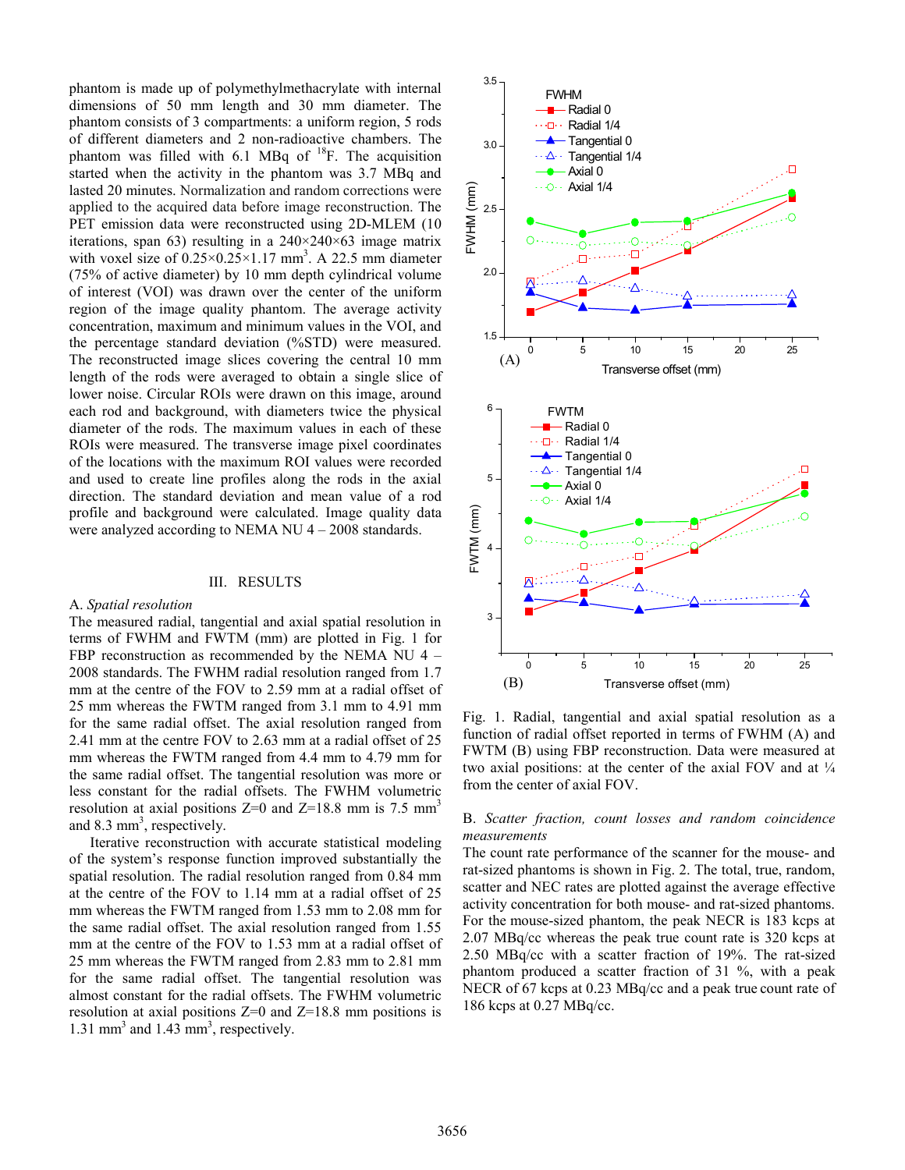phantom is made up of polymethylmethacrylate with internal dimensions of 50 mm length and 30 mm diameter. The phantom consists of 3 compartments: a uniform region, 5 rods of different diameters and 2 non-radioactive chambers. The phantom was filled with 6.1 MBq of  $^{18}$ F. The acquisition started when the activity in the phantom was 3.7 MBq and lasted 20 minutes. Normalization and random corrections were applied to the acquired data before image reconstruction. The PET emission data were reconstructed using 2D-MLEM (10 iterations, span 63) resulting in a  $240\times240\times63$  image matrix with voxel size of  $0.25 \times 0.25 \times 1.17$  mm<sup>3</sup>. A 22.5 mm diameter (75% of active diameter) by 10 mm depth cylindrical volume of interest (VOI) was drawn over the center of the uniform region of the image quality phantom. The average activity concentration, maximum and minimum values in the VOI, and the percentage standard deviation (%STD) were measured. The reconstructed image slices covering the central 10 mm length of the rods were averaged to obtain a single slice of lower noise. Circular ROIs were drawn on this image, around each rod and background, with diameters twice the physical diameter of the rods. The maximum values in each of these ROIs were measured. The transverse image pixel coordinates of the locations with the maximum ROI values were recorded and used to create line profiles along the rods in the axial direction. The standard deviation and mean value of a rod profile and background were calculated. Image quality data were analyzed according to NEMA NU 4 – 2008 standards.

#### III. RESULTS

## A. *Spatial resolution*

The measured radial, tangential and axial spatial resolution in terms of FWHM and FWTM (mm) are plotted in Fig. 1 for FBP reconstruction as recommended by the NEMA NU 4 – 2008 standards. The FWHM radial resolution ranged from 1.7 mm at the centre of the FOV to 2.59 mm at a radial offset of 25 mm whereas the FWTM ranged from 3.1 mm to 4.91 mm for the same radial offset. The axial resolution ranged from 2.41 mm at the centre FOV to 2.63 mm at a radial offset of 25 mm whereas the FWTM ranged from 4.4 mm to 4.79 mm for the same radial offset. The tangential resolution was more or less constant for the radial offsets. The FWHM volumetric resolution at axial positions  $Z=0$  and  $Z=18.8$  mm is 7.5 mm<sup>3</sup> and 8.3 mm<sup>3</sup>, respectively.

Iterative reconstruction with accurate statistical modeling of the system's response function improved substantially the spatial resolution. The radial resolution ranged from 0.84 mm at the centre of the FOV to 1.14 mm at a radial offset of 25 mm whereas the FWTM ranged from 1.53 mm to 2.08 mm for the same radial offset. The axial resolution ranged from 1.55 mm at the centre of the FOV to 1.53 mm at a radial offset of 25 mm whereas the FWTM ranged from 2.83 mm to 2.81 mm for the same radial offset. The tangential resolution was almost constant for the radial offsets. The FWHM volumetric resolution at axial positions  $Z=0$  and  $Z=18.8$  mm positions is  $1.31$  mm<sup>3</sup> and  $1.43$  mm<sup>3</sup>, respectively.



Fig. 1. Radial, tangential and axial spatial resolution as a function of radial offset reported in terms of FWHM (A) and FWTM (B) using FBP reconstruction. Data were measured at two axial positions: at the center of the axial FOV and at  $\frac{1}{4}$ from the center of axial FOV.

## B. *Scatter fraction, count losses and random coincidence measurements*

The count rate performance of the scanner for the mouse- and rat-sized phantoms is shown in Fig. 2. The total, true, random, scatter and NEC rates are plotted against the average effective activity concentration for both mouse- and rat-sized phantoms. For the mouse-sized phantom, the peak NECR is 183 kcps at 2.07 MBq/cc whereas the peak true count rate is 320 kcps at 2.50 MBq/cc with a scatter fraction of 19%. The rat-sized phantom produced a scatter fraction of 31 %, with a peak NECR of 67 kcps at 0.23 MBq/cc and a peak true count rate of 186 kcps at 0.27 MBq/cc.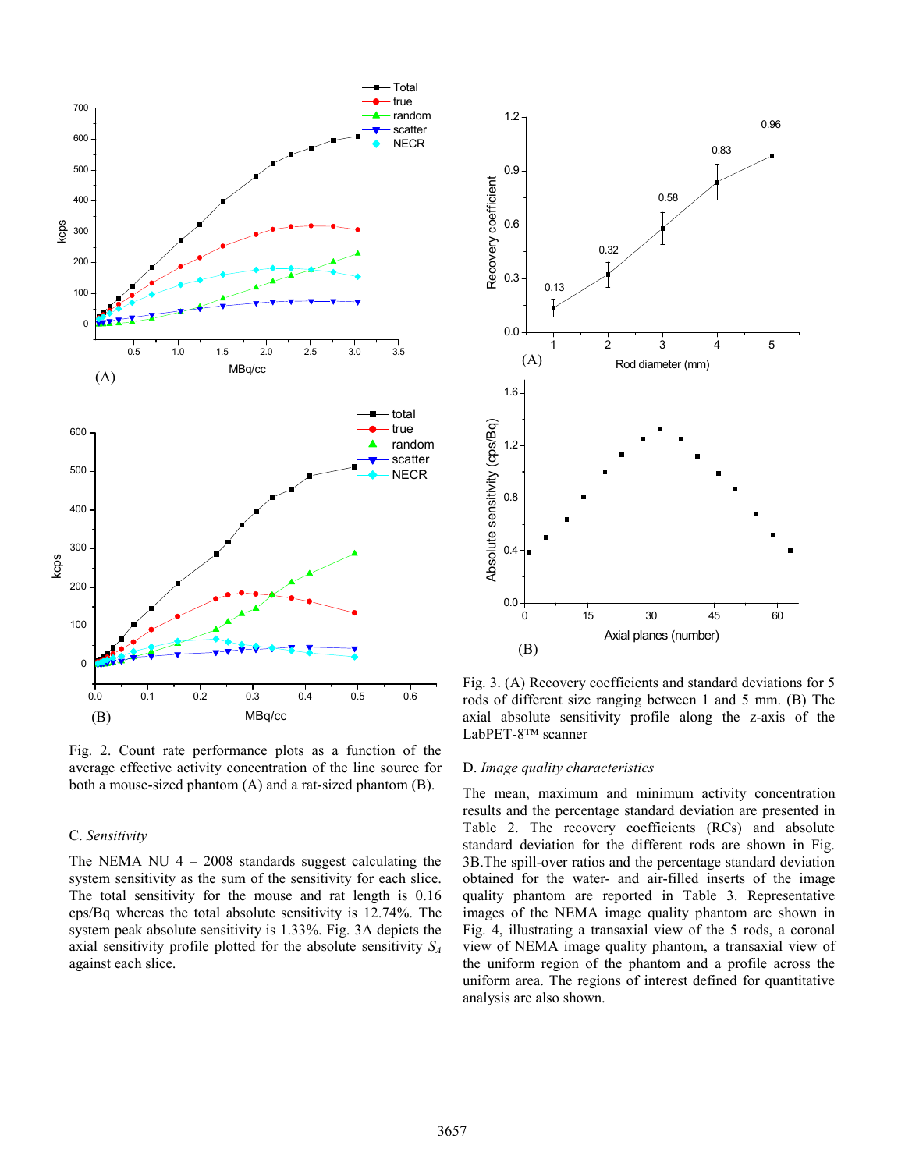

Fig. 2. Count rate performance plots as a function of the average effective activity concentration of the line source for both a mouse-sized phantom (A) and a rat-sized phantom (B).

## C. *Sensitivity*

The NEMA NU  $4 - 2008$  standards suggest calculating the system sensitivity as the sum of the sensitivity for each slice. The total sensitivity for the mouse and rat length is 0.16 cps/Bq whereas the total absolute sensitivity is 12.74%. The system peak absolute sensitivity is 1.33%. Fig. 3A depicts the axial sensitivity profile plotted for the absolute sensitivity *SA* against each slice.



Fig. 3. (A) Recovery coefficients and standard deviations for 5 rods of different size ranging between 1 and 5 mm. (B) The axial absolute sensitivity profile along the z-axis of the LabPET-8™ scanner

#### D. *Image quality characteristics*

The mean, maximum and minimum activity concentration results and the percentage standard deviation are presented in Table 2. The recovery coefficients (RCs) and absolute standard deviation for the different rods are shown in Fig. 3B.The spill-over ratios and the percentage standard deviation obtained for the water- and air-filled inserts of the image quality phantom are reported in Table 3. Representative images of the NEMA image quality phantom are shown in Fig. 4, illustrating a transaxial view of the 5 rods, a coronal view of NEMA image quality phantom, a transaxial view of the uniform region of the phantom and a profile across the uniform area. The regions of interest defined for quantitative analysis are also shown.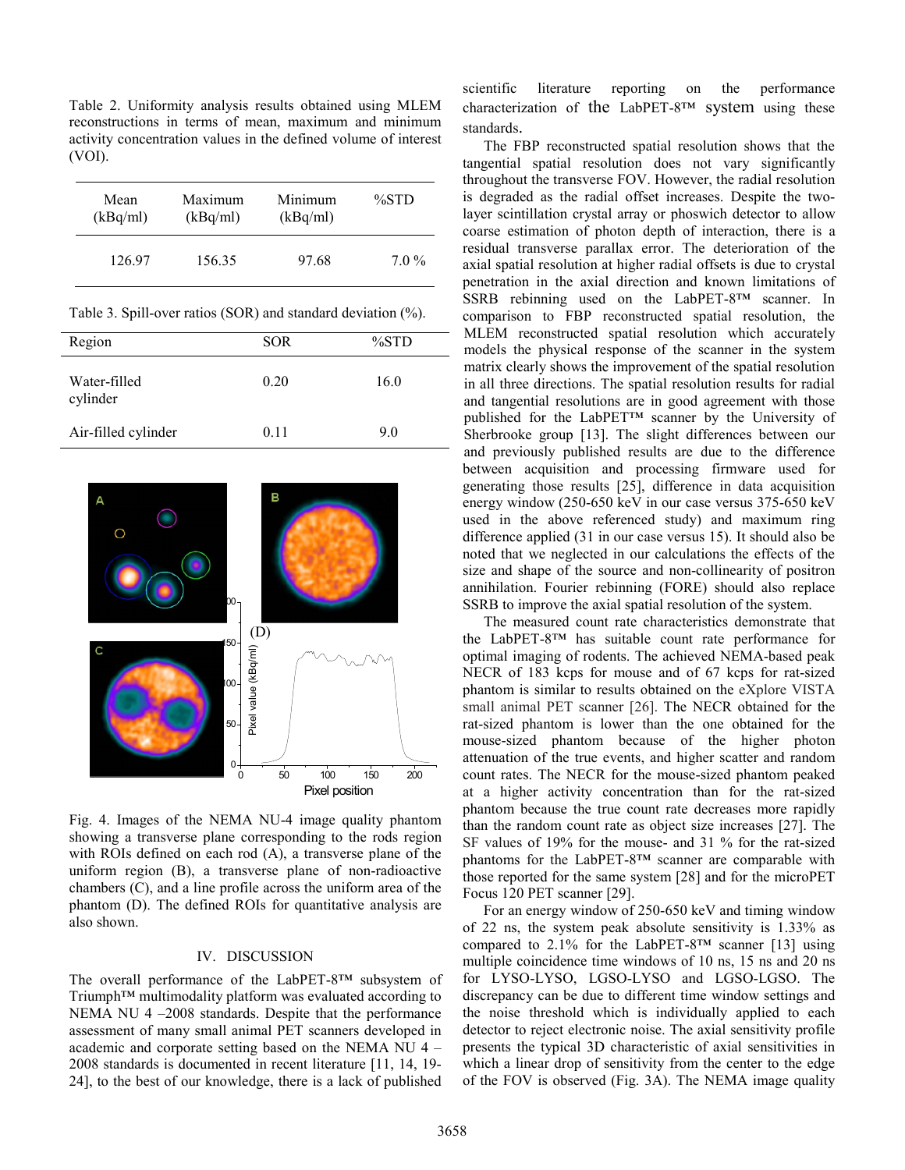Table 2. Uniformity analysis results obtained using MLEM reconstructions in terms of mean, maximum and minimum activity concentration values in the defined volume of interest (VOI).

| Mean     | Maximum  | Minimum  | $\%STD$ |
|----------|----------|----------|---------|
| (kBq/ml) | (kBq/ml) | (kBq/ml) |         |
| 126.97   | 156.35   | 97.68    | $7.0\%$ |

Table 3. Spill-over ratios (SOR) and standard deviation (%).

| Region                   | <b>SOR</b> | $\%STD$ |
|--------------------------|------------|---------|
| Water-filled<br>cylinder | 0.20       | 16.0    |
| Air-filled cylinder      | 0.11       | 9.0     |



Fig. 4. Images of the NEMA NU-4 image quality phantom showing a transverse plane corresponding to the rods region with ROIs defined on each rod (A), a transverse plane of the uniform region (B), a transverse plane of non-radioactive chambers (C), and a line profile across the uniform area of the phantom (D). The defined ROIs for quantitative analysis are also shown.

#### IV. DISCUSSION

The overall performance of the LabPET-8™ subsystem of Triumph™ multimodality platform was evaluated according to NEMA NU 4 –2008 standards. Despite that the performance assessment of many small animal PET scanners developed in academic and corporate setting based on the NEMA NU 4 – 2008 standards is documented in recent literature [11, 14, 19- 24], to the best of our knowledge, there is a lack of published scientific literature reporting on the performance characterization of the LabPET-8™ system using these standards.

The FBP reconstructed spatial resolution shows that the tangential spatial resolution does not vary significantly throughout the transverse FOV. However, the radial resolution is degraded as the radial offset increases. Despite the twolayer scintillation crystal array or phoswich detector to allow coarse estimation of photon depth of interaction, there is a residual transverse parallax error. The deterioration of the axial spatial resolution at higher radial offsets is due to crystal penetration in the axial direction and known limitations of SSRB rebinning used on the LabPET-8™ scanner. In comparison to FBP reconstructed spatial resolution, the MLEM reconstructed spatial resolution which accurately models the physical response of the scanner in the system matrix clearly shows the improvement of the spatial resolution in all three directions. The spatial resolution results for radial and tangential resolutions are in good agreement with those published for the LabPET™ scanner by the University of Sherbrooke group [13]. The slight differences between our and previously published results are due to the difference between acquisition and processing firmware used for generating those results [25], difference in data acquisition energy window (250-650 keV in our case versus 375-650 keV used in the above referenced study) and maximum ring difference applied (31 in our case versus 15). It should also be noted that we neglected in our calculations the effects of the size and shape of the source and non-collinearity of positron annihilation. Fourier rebinning (FORE) should also replace SSRB to improve the axial spatial resolution of the system.

The measured count rate characteristics demonstrate that the LabPET-8™ has suitable count rate performance for optimal imaging of rodents. The achieved NEMA-based peak NECR of 183 kcps for mouse and of 67 kcps for rat-sized phantom is similar to results obtained on the eXplore VISTA small animal PET scanner [26]. The NECR obtained for the rat-sized phantom is lower than the one obtained for the mouse-sized phantom because of the higher photon attenuation of the true events, and higher scatter and random count rates. The NECR for the mouse-sized phantom peaked at a higher activity concentration than for the rat-sized phantom because the true count rate decreases more rapidly than the random count rate as object size increases [27]. The SF values of 19% for the mouse- and 31 % for the rat-sized phantoms for the LabPET-8™ scanner are comparable with those reported for the same system [28] and for the microPET Focus 120 PET scanner [29].

For an energy window of 250-650 keV and timing window of 22 ns, the system peak absolute sensitivity is 1.33% as compared to 2.1% for the LabPET-8<sup>™</sup> scanner [13] using multiple coincidence time windows of 10 ns, 15 ns and 20 ns for LYSO-LYSO, LGSO-LYSO and LGSO-LGSO. The discrepancy can be due to different time window settings and the noise threshold which is individually applied to each detector to reject electronic noise. The axial sensitivity profile presents the typical 3D characteristic of axial sensitivities in which a linear drop of sensitivity from the center to the edge of the FOV is observed (Fig. 3A). The NEMA image quality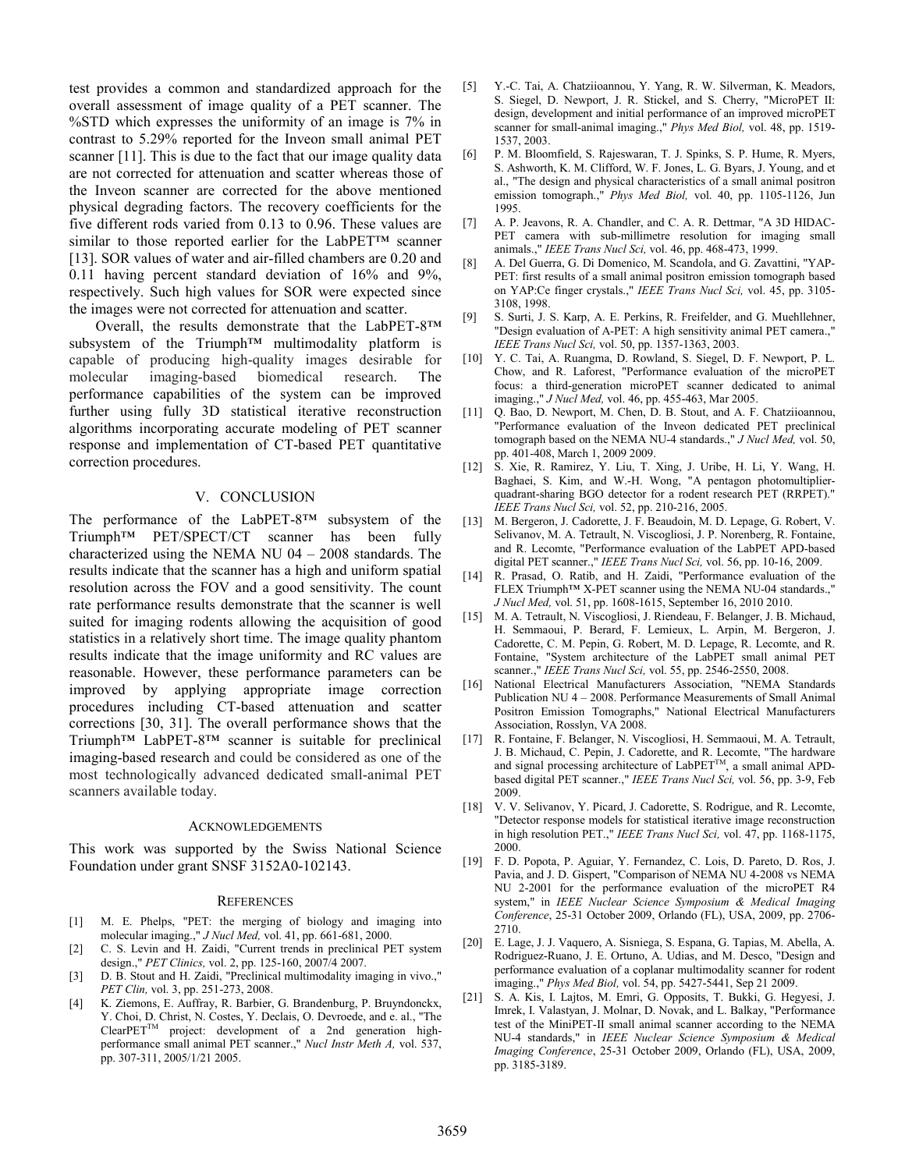test provides a common and standardized approach for the overall assessment of image quality of a PET scanner. The %STD which expresses the uniformity of an image is 7% in contrast to 5.29% reported for the Inveon small animal PET scanner [11]. This is due to the fact that our image quality data are not corrected for attenuation and scatter whereas those of the Inveon scanner are corrected for the above mentioned physical degrading factors. The recovery coefficients for the five different rods varied from 0.13 to 0.96. These values are similar to those reported earlier for the LabPET™ scanner [13]. SOR values of water and air-filled chambers are 0.20 and 0.11 having percent standard deviation of 16% and 9%, respectively. Such high values for SOR were expected since the images were not corrected for attenuation and scatter.

Overall, the results demonstrate that the LabPET-8™ subsystem of the Triumph<sup>™</sup> multimodality platform is capable of producing high-quality images desirable for molecular imaging-based biomedical research. The performance capabilities of the system can be improved further using fully 3D statistical iterative reconstruction algorithms incorporating accurate modeling of PET scanner response and implementation of CT-based PET quantitative correction procedures.

# V. CONCLUSION

The performance of the LabPET-8™ subsystem of the Triumph™ PET/SPECT/CT scanner has been fully characterized using the NEMA NU 04 – 2008 standards. The results indicate that the scanner has a high and uniform spatial resolution across the FOV and a good sensitivity. The count rate performance results demonstrate that the scanner is well suited for imaging rodents allowing the acquisition of good statistics in a relatively short time. The image quality phantom results indicate that the image uniformity and RC values are reasonable. However, these performance parameters can be improved by applying appropriate image correction procedures including CT-based attenuation and scatter corrections [30, 31]. The overall performance shows that the Triumph™ LabPET-8™ scanner is suitable for preclinical imaging-based research and could be considered as one of the most technologically advanced dedicated small-animal PET scanners available today.

### ACKNOWLEDGEMENTS

This work was supported by the Swiss National Science Foundation under grant SNSF 3152A0-102143.

### **REFERENCES**

- [1] M. E. Phelps, "PET: the merging of biology and imaging into molecular imaging.," *J Nucl Med,* vol. 41, pp. 661-681, 2000.
- [2] C. S. Levin and H. Zaidi, "Current trends in preclinical PET system design.," *PET Clinics,* vol. 2, pp. 125-160, 2007/4 2007.
- [3] D. B. Stout and H. Zaidi, "Preclinical multimodality imaging in vivo.," *PET Clin,* vol. 3, pp. 251-273, 2008.
- [4] K. Ziemons, E. Auffray, R. Barbier, G. Brandenburg, P. Bruyndonckx, Y. Choi, D. Christ, N. Costes, Y. Declais, O. Devroede, and e. al., "The ClearPETTM project: development of a 2nd generation highperformance small animal PET scanner.," *Nucl Instr Meth A,* vol. 537, pp. 307-311, 2005/1/21 2005.
- [5] Y.-C. Tai, A. Chatziioannou, Y. Yang, R. W. Silverman, K. Meadors, S. Siegel, D. Newport, J. R. Stickel, and S. Cherry, "MicroPET II: design, development and initial performance of an improved microPET scanner for small-animal imaging.," *Phys Med Biol,* vol. 48, pp. 1519- 1537, 2003.
- [6] P. M. Bloomfield, S. Rajeswaran, T. J. Spinks, S. P. Hume, R. Myers, S. Ashworth, K. M. Clifford, W. F. Jones, L. G. Byars, J. Young, and et al., "The design and physical characteristics of a small animal positron emission tomograph.," *Phys Med Biol,* vol. 40, pp. 1105-1126, Jun 1995.
- [7] A. P. Jeavons, R. A. Chandler, and C. A. R. Dettmar, "A 3D HIDAC-PET camera with sub-millimetre resolution for imaging small animals.," *IEEE Trans Nucl Sci,* vol. 46, pp. 468-473, 1999.
- [8] A. Del Guerra, G. Di Domenico, M. Scandola, and G. Zavattini, "YAP-PET: first results of a small animal positron emission tomograph based on YAP:Ce finger crystals.," *IEEE Trans Nucl Sci,* vol. 45, pp. 3105- 3108, 1998.
- [9] S. Surti, J. S. Karp, A. E. Perkins, R. Freifelder, and G. Muehllehner, "Design evaluation of A-PET: A high sensitivity animal PET camera.," *IEEE Trans Nucl Sci,* vol. 50, pp. 1357-1363, 2003.
- [10] Y. C. Tai, A. Ruangma, D. Rowland, S. Siegel, D. F. Newport, P. L. Chow, and R. Laforest, "Performance evaluation of the microPET focus: a third-generation microPET scanner dedicated to animal imaging.," *J Nucl Med,* vol. 46, pp. 455-463, Mar 2005.
- [11] Q. Bao, D. Newport, M. Chen, D. B. Stout, and A. F. Chatziioannou, "Performance evaluation of the Inveon dedicated PET preclinical tomograph based on the NEMA NU-4 standards.," *J Nucl Med,* vol. 50, pp. 401-408, March 1, 2009 2009.
- [12] S. Xie, R. Ramirez, Y. Liu, T. Xing, J. Uribe, H. Li, Y. Wang, H. Baghaei, S. Kim, and W.-H. Wong, "A pentagon photomultiplierquadrant-sharing BGO detector for a rodent research PET (RRPET)." *IEEE Trans Nucl Sci,* vol. 52, pp. 210-216, 2005.
- [13] M. Bergeron, J. Cadorette, J. F. Beaudoin, M. D. Lepage, G. Robert, V. Selivanov, M. A. Tetrault, N. Viscogliosi, J. P. Norenberg, R. Fontaine, and R. Lecomte, "Performance evaluation of the LabPET APD-based digital PET scanner.," *IEEE Trans Nucl Sci,* vol. 56, pp. 10-16, 2009.
- [14] R. Prasad, O. Ratib, and H. Zaidi, "Performance evaluation of the FLEX Triumph™ X-PET scanner using the NEMA NU-04 standards.," *J Nucl Med,* vol. 51, pp. 1608-1615, September 16, 2010 2010.
- [15] M. A. Tetrault, N. Viscogliosi, J. Riendeau, F. Belanger, J. B. Michaud, H. Semmaoui, P. Berard, F. Lemieux, L. Arpin, M. Bergeron, J. Cadorette, C. M. Pepin, G. Robert, M. D. Lepage, R. Lecomte, and R. Fontaine, "System architecture of the LabPET small animal PET scanner.," *IEEE Trans Nucl Sci,* vol. 55, pp. 2546-2550, 2008.
- [16] National Electrical Manufacturers Association, "NEMA Standards Publication NU 4 – 2008. Performance Measurements of Small Animal Positron Emission Tomographs," National Electrical Manufacturers Association, Rosslyn, VA 2008.
- [17] R. Fontaine, F. Belanger, N. Viscogliosi, H. Semmaoui, M. A. Tetrault, J. B. Michaud, C. Pepin, J. Cadorette, and R. Lecomte, "The hardware and signal processing architecture of  $L$ abPET<sup>TM</sup>, a small animal APDbased digital PET scanner.," *IEEE Trans Nucl Sci,* vol. 56, pp. 3-9, Feb 2009.
- [18] V. V. Selivanov, Y. Picard, J. Cadorette, S. Rodrigue, and R. Lecomte, "Detector response models for statistical iterative image reconstruction in high resolution PET.," *IEEE Trans Nucl Sci,* vol. 47, pp. 1168-1175, 2000.
- [19] F. D. Popota, P. Aguiar, Y. Fernandez, C. Lois, D. Pareto, D. Ros, J. Pavia, and J. D. Gispert, "Comparison of NEMA NU 4-2008 vs NEMA NU 2-2001 for the performance evaluation of the microPET R4 system," in *IEEE Nuclear Science Symposium & Medical Imaging Conference*, 25-31 October 2009, Orlando (FL), USA, 2009, pp. 2706- 2710.
- [20] E. Lage, J. J. Vaquero, A. Sisniega, S. Espana, G. Tapias, M. Abella, A. Rodriguez-Ruano, J. E. Ortuno, A. Udias, and M. Desco, "Design and performance evaluation of a coplanar multimodality scanner for rodent imaging.," *Phys Med Biol,* vol. 54, pp. 5427-5441, Sep 21 2009.
- [21] S. A. Kis, I. Lajtos, M. Emri, G. Opposits, T. Bukki, G. Hegyesi, J. Imrek, I. Valastyan, J. Molnar, D. Novak, and L. Balkay, "Performance test of the MiniPET-II small animal scanner according to the NEMA NU-4 standards," in *IEEE Nuclear Science Symposium & Medical Imaging Conference*, 25-31 October 2009, Orlando (FL), USA, 2009, pp. 3185-3189.